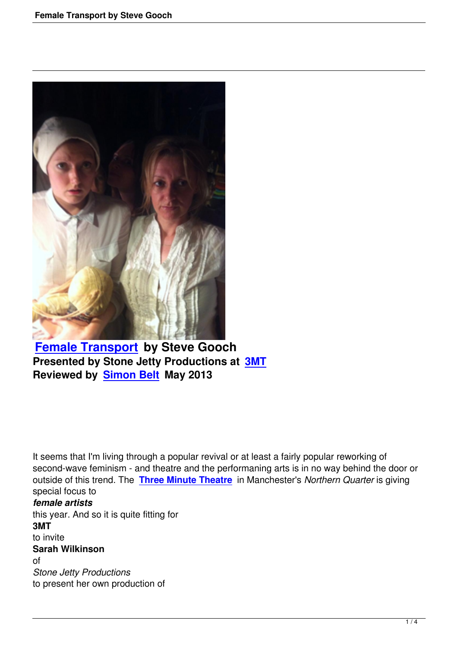

**Female Transport by Steve Gooch Presented by Stone Jetty Productions at 3MT [Reviewed by Simon](female-transport-by-steve-gooch.html) Belt May 2013**

It seems that I'm living through a popular revival or at least a fairly popular reworking of second-wave feminism - and theatre and the performaning arts is in no way behind the door or outside of this trend. The **Three Minute Theatre** in Manchester's *Northern Quarter* is giving special focus to *female artists* this year. And so it is quit[e fitting for](http://www.threeminutetheatre.co.uk/)  **3MT** to invite **Sarah Wilkinson** of *Stone Jetty Productions* to present her own production of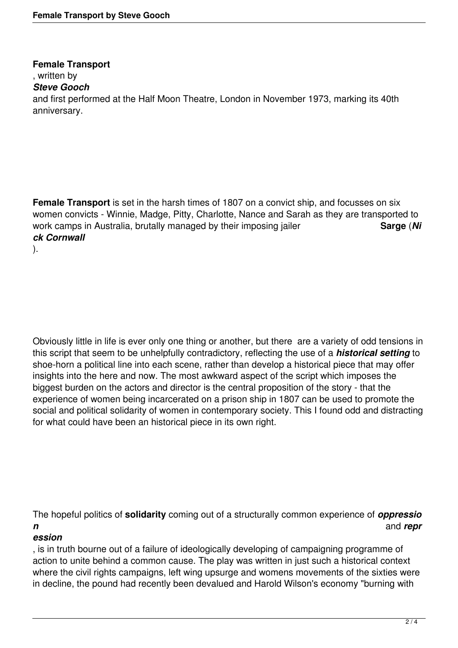**Female Transport** , written by *Steve Gooch* and first performed at the Half Moon Theatre, London in November 1973, marking its 40th anniversary.

**Female Transport** is set in the harsh times of 1807 on a convict ship, and focusses on six women convicts - Winnie, Madge, Pitty, Charlotte, Nance and Sarah as they are transported to work camps in Australia, brutally managed by their imposing jailer **Sarge** (*Ni*) *ck Cornwall* ).

Obviously little in life is ever only one thing or another, but there are a variety of odd tensions in this script that seem to be unhelpfully contradictory, reflecting the use of a *historical setting* to shoe-horn a political line into each scene, rather than develop a historical piece that may offer insights into the here and now. The most awkward aspect of the script which imposes the biggest burden on the actors and director is the central proposition of the story - that the experience of women being incarcerated on a prison ship in 1807 can be used to promote the social and political solidarity of women in contemporary society. This I found odd and distracting for what could have been an historical piece in its own right.

The hopeful politics of **solidarity** coming out of a structurally common experience of *oppressio n* and *repr*

## *ession*

, is in truth bourne out of a failure of ideologically developing of campaigning programme of action to unite behind a common cause. The play was written in just such a historical context where the civil rights campaigns, left wing upsurge and womens movements of the sixties were in decline, the pound had recently been devalued and Harold Wilson's economy "burning with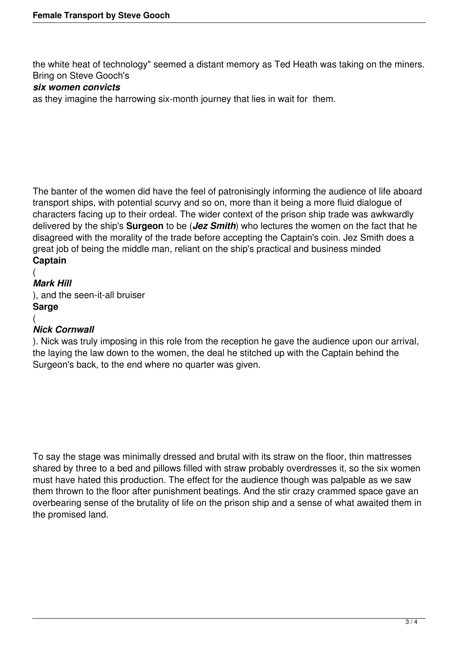the white heat of technology" seemed a distant memory as Ted Heath was taking on the miners. Bring on Steve Gooch's

## *six women convicts*

as they imagine the harrowing six-month journey that lies in wait for them.

The banter of the women did have the feel of patronisingly informing the audience of life aboard transport ships, with potential scurvy and so on, more than it being a more fluid dialogue of characters facing up to their ordeal. The wider context of the prison ship trade was awkwardly delivered by the ship's **Surgeon** to be (*Jez Smith*) who lectures the women on the fact that he disagreed with the morality of the trade before accepting the Captain's coin. Jez Smith does a great job of being the middle man, reliant on the ship's practical and business minded **Captain**

## ( *Mark Hill* ), and the seen-it-all bruiser **Sarge** (

## *Nick Cornwall*

). Nick was truly imposing in this role from the reception he gave the audience upon our arrival, the laying the law down to the women, the deal he stitched up with the Captain behind the Surgeon's back, to the end where no quarter was given.

To say the stage was minimally dressed and brutal with its straw on the floor, thin mattresses shared by three to a bed and pillows filled with straw probably overdresses it, so the six women must have hated this production. The effect for the audience though was palpable as we saw them thrown to the floor after punishment beatings. And the stir crazy crammed space gave an overbearing sense of the brutality of life on the prison ship and a sense of what awaited them in the promised land.